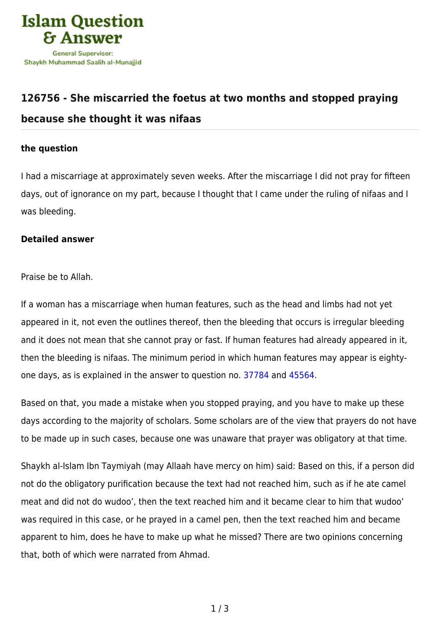

## **[126756 - She miscarried the foetus at two months and stopped praying](https://islamqa.com/en/answers/126756/she-miscarried-the-foetus-at-two-months-and-stopped-praying-because-she-thought-it-was-nifaas) [because she thought it was nifaas](https://islamqa.com/en/answers/126756/she-miscarried-the-foetus-at-two-months-and-stopped-praying-because-she-thought-it-was-nifaas)**

## **the question**

I had a miscarriage at approximately seven weeks. After the miscarriage I did not pray for fifteen days, out of ignorance on my part, because I thought that I came under the ruling of nifaas and I was bleeding.

## **Detailed answer**

Praise be to Allah.

If a woman has a miscarriage when human features, such as the head and limbs had not yet appeared in it, not even the outlines thereof, then the bleeding that occurs is irregular bleeding and it does not mean that she cannot pray or fast. If human features had already appeared in it, then the bleeding is nifaas. The minimum period in which human features may appear is eightyone days, as is explained in the answer to question no. [37784](https://islamqa.com/en/answers/37784) and [45564.](https://islamqa.com/en/answers/45564)

Based on that, you made a mistake when you stopped praying, and you have to make up these days according to the majority of scholars. Some scholars are of the view that prayers do not have to be made up in such cases, because one was unaware that prayer was obligatory at that time.

Shaykh al-Islam Ibn Taymiyah (may Allaah have mercy on him) said: Based on this, if a person did not do the obligatory purification because the text had not reached him, such as if he ate camel meat and did not do wudoo', then the text reached him and it became clear to him that wudoo' was required in this case, or he prayed in a camel pen, then the text reached him and became apparent to him, does he have to make up what he missed? There are two opinions concerning that, both of which were narrated from Ahmad.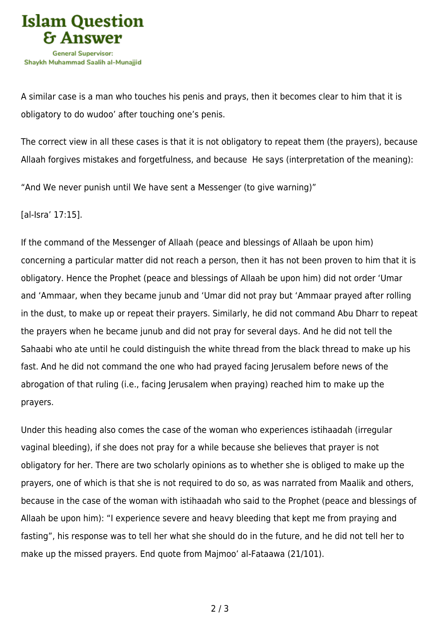

A similar case is a man who touches his penis and prays, then it becomes clear to him that it is obligatory to do wudoo' after touching one's penis.

The correct view in all these cases is that it is not obligatory to repeat them (the prayers), because Allaah forgives mistakes and forgetfulness, and because He says (interpretation of the meaning):

"And We never punish until We have sent a Messenger (to give warning)"

[al-Isra' 17:15].

If the command of the Messenger of Allaah (peace and blessings of Allaah be upon him) concerning a particular matter did not reach a person, then it has not been proven to him that it is obligatory. Hence the Prophet (peace and blessings of Allaah be upon him) did not order 'Umar and 'Ammaar, when they became junub and 'Umar did not pray but 'Ammaar prayed after rolling in the dust, to make up or repeat their prayers. Similarly, he did not command Abu Dharr to repeat the prayers when he became junub and did not pray for several days. And he did not tell the Sahaabi who ate until he could distinguish the white thread from the black thread to make up his fast. And he did not command the one who had prayed facing Jerusalem before news of the abrogation of that ruling (i.e., facing Jerusalem when praying) reached him to make up the prayers.

Under this heading also comes the case of the woman who experiences istihaadah (irregular vaginal bleeding), if she does not pray for a while because she believes that prayer is not obligatory for her. There are two scholarly opinions as to whether she is obliged to make up the prayers, one of which is that she is not required to do so, as was narrated from Maalik and others, because in the case of the woman with istihaadah who said to the Prophet (peace and blessings of Allaah be upon him): "I experience severe and heavy bleeding that kept me from praying and fasting", his response was to tell her what she should do in the future, and he did not tell her to make up the missed prayers. End quote from Majmoo' al-Fataawa (21/101).